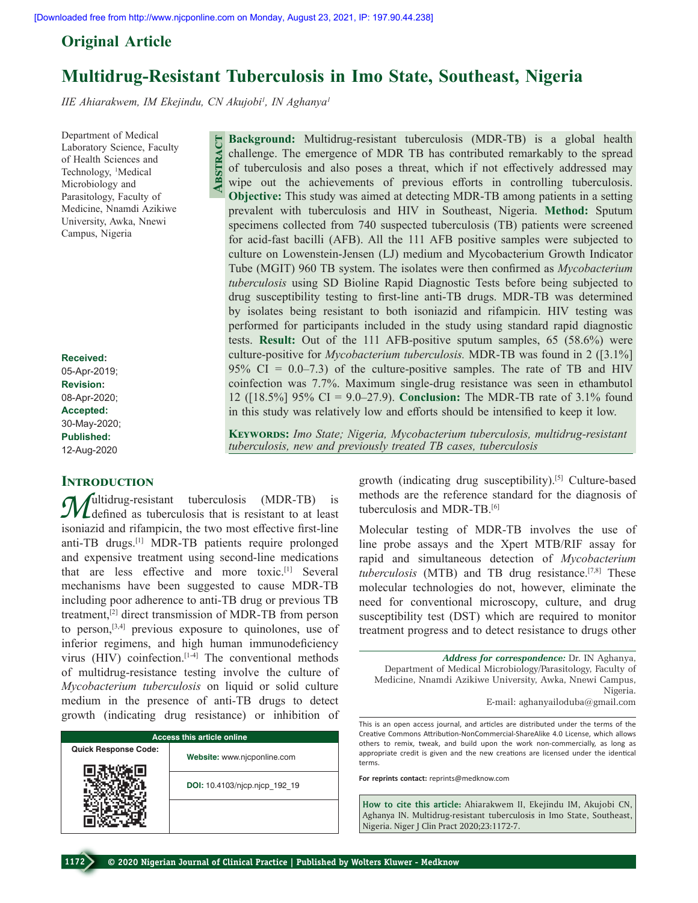## **Original  Article**

# **Multidrug-Resistant Tuberculosis in Imo State, Southeast, Nigeria**

*IIE Ahiarakwem, IM Ekejindu, CN Akujobi1 , IN Aghanya1*

**Abstract**

Department of Medical Laboratory Science, Faculty of Health Sciences and Technology, <sup>1</sup>Medical Microbiology and Parasitology, Faculty of Medicine, Nnamdi Azikiwe University, Awka, Nnewi Campus, Nigeria

**Received:** 05-Apr-2019; **Revision:** 08-Apr-2020; **Accepted:** 30-May-2020; **Published:** 12-Aug-2020

#### **INTRODUCTION**

*M*ultidrug-resistant tuberculosis (MDR-TB) is<br>
isomigrid and eifenvalue the two meet effective first line isoniazid and rifampicin, the two most effective first-line anti-TB drugs.<sup>[1]</sup> MDR-TB patients require prolonged and expensive treatment using second-line medications that are less effective and more toxic.[1] Several mechanisms have been suggested to cause MDR‑TB including poor adherence to anti-TB drug or previous TB treatment,[2] direct transmission of MDR‑TB from person to person,  $[3,4]$  previous exposure to quinolones, use of inferior regimens, and high human immunodeficiency virus (HIV) coinfection.<sup>[1-4]</sup> The conventional methods of multidrug‑resistance testing involve the culture of *Mycobacterium tuberculosis* on liquid or solid culture medium in the presence of anti‑TB drugs to detect growth (indicating drug resistance) or inhibition of

| <b>Access this article online</b> |                               |  |  |  |
|-----------------------------------|-------------------------------|--|--|--|
| <b>Quick Response Code:</b>       | Website: www.njcponline.com   |  |  |  |
|                                   | DOI: 10.4103/njcp.njcp 192 19 |  |  |  |
|                                   |                               |  |  |  |

**Background:** Multidrug-resistant tuberculosis (MDR-TB) is a global health challenge. The emergence of MDR TB has contributed remarkably to the spread of tuberculosis and also poses a threat, which if not effectively addressed may wipe out the achievements of previous efforts in controlling tuberculosis. **Objective:** This study was aimed at detecting MDR–TB among patients in a setting prevalent with tuberculosis and HIV in Southeast, Nigeria. **Method:** Sputum specimens collected from 740 suspected tuberculosis (TB) patients were screened for acid‑fast bacilli (AFB). All the 111 AFB positive samples were subjected to culture on Lowenstein‑Jensen (LJ) medium and Mycobacterium Growth Indicator Tube (MGIT) 960 TB system. The isolates were then confirmed as *Mycobacterium tuberculosis* using SD Bioline Rapid Diagnostic Tests before being subjected to drug susceptibility testing to first‑line anti‑TB drugs. MDR‑TB was determined by isolates being resistant to both isoniazid and rifampicin. HIV testing was performed for participants included in the study using standard rapid diagnostic tests. **Result:** Out of the 111 AFB‑positive sputum samples, 65 (58.6%) were culture‑positive for *Mycobacterium tuberculosis.* MDR‑TB was found in 2 ([3.1%] 95% CI =  $0.0-7.3$ ) of the culture-positive samples. The rate of TB and HIV coinfection was 7.7%. Maximum single‑drug resistance was seen in ethambutol 12 ([18.5%] 95% CI = 9.0–27.9). **Conclusion:** The MDR‑TB rate of 3.1% found

**Keywords:** *Imo State; Nigeria, Mycobacterium tuberculosis, multidrug‑resistant tuberculosis, new and previously treated TB cases, tuberculosis*

in this study was relatively low and efforts should be intensified to keep it low.

growth (indicating drug susceptibility).<sup>[5]</sup> Culture-based methods are the reference standard for the diagnosis of tuberculosis and MDR-TB.<sup>[6]</sup>

Molecular testing of MDR‑TB involves the use of line probe assays and the Xpert MTB/RIF assay for rapid and simultaneous detection of *Mycobacterium tuberculosis* (MTB) and TB drug resistance.[7,8] These molecular technologies do not, however, eliminate the need for conventional microscopy, culture, and drug susceptibility test (DST) which are required to monitor treatment progress and to detect resistance to drugs other

*Address for correspondence:* Dr. IN Aghanya, Department of Medical Microbiology/Parasitology, Faculty of Medicine, Nnamdi Azikiwe University, Awka, Nnewi Campus, Nigeria. E‑mail: aghanyailoduba@gmail.com

This is an open access journal, and articles are distributed under the terms of the Creative Commons Attribution‑NonCommercial‑ShareAlike 4.0 License, which allows others to remix, tweak, and build upon the work non‑commercially, as long as appropriate credit is given and the new creations are licensed under the identical terms.

**For reprints contact:** reprints@medknow.com

**How to cite this article:** Ahiarakwem II, Ekejindu IM, Akujobi CN, Aghanya IN. Multidrug-resistant tuberculosis in Imo State, Southeast, Nigeria. Niger J Clin Pract 2020;23:1172-7.

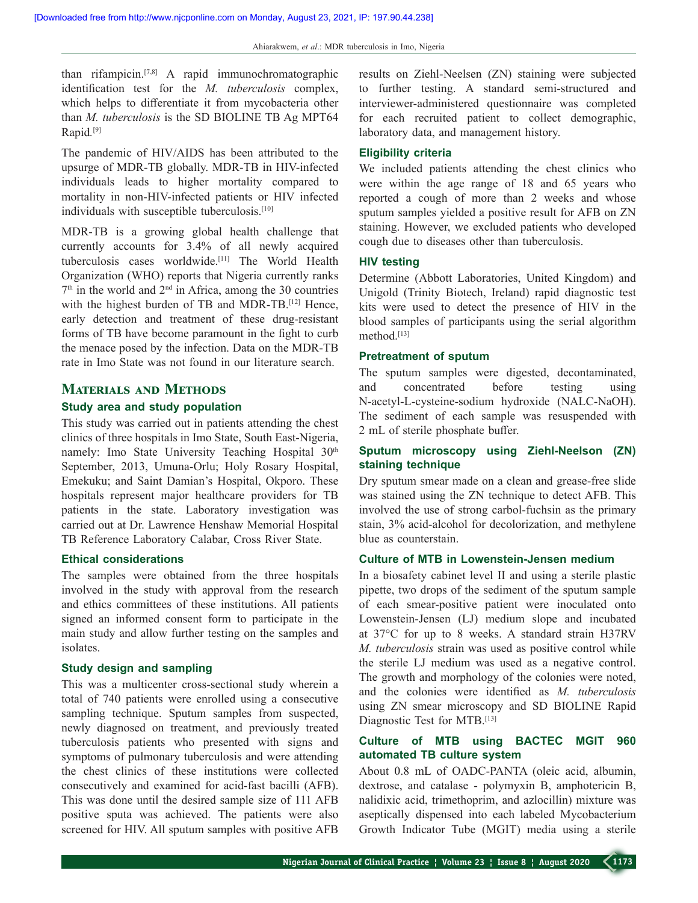than rifampicin.[7,8] A rapid immunochromatographic identification test for the *M. tuberculosis* complex, which helps to differentiate it from mycobacteria other than *M. tuberculosis* is the SD BIOLINE TB Ag MPT64 Rapid*.* [9]

The pandemic of HIV/AIDS has been attributed to the upsurge of MDR‑TB globally. MDR‑TB in HIV‑infected individuals leads to higher mortality compared to mortality in non‑HIV‑infected patients or HIV infected individuals with susceptible tuberculosis.<sup>[10]</sup>

MDR‑TB is a growing global health challenge that currently accounts for 3.4% of all newly acquired tuberculosis cases worldwide.[11] The World Health Organization (WHO) reports that Nigeria currently ranks  $7<sup>th</sup>$  in the world and  $2<sup>nd</sup>$  in Africa, among the 30 countries with the highest burden of TB and MDR-TB.<sup>[12]</sup> Hence, early detection and treatment of these drug-resistant forms of TB have become paramount in the fight to curb the menace posed by the infection. Data on the MDR‑TB rate in Imo State was not found in our literature search.

### **Materials and Methods**

#### **Study area and study population**

This study was carried out in patients attending the chest clinics of three hospitals in Imo State, South East‑Nigeria, namely: Imo State University Teaching Hospital 30<sup>th</sup> September, 2013, Umuna‑Orlu; Holy Rosary Hospital, Emekuku; and Saint Damian's Hospital, Okporo. These hospitals represent major healthcare providers for TB patients in the state. Laboratory investigation was carried out at Dr. Lawrence Henshaw Memorial Hospital TB Reference Laboratory Calabar, Cross River State.

#### **Ethical considerations**

The samples were obtained from the three hospitals involved in the study with approval from the research and ethics committees of these institutions. All patients signed an informed consent form to participate in the main study and allow further testing on the samples and isolates.

#### **Study design and sampling**

This was a multicenter cross-sectional study wherein a total of 740 patients were enrolled using a consecutive sampling technique. Sputum samples from suspected, newly diagnosed on treatment, and previously treated tuberculosis patients who presented with signs and symptoms of pulmonary tuberculosis and were attending the chest clinics of these institutions were collected consecutively and examined for acid‑fast bacilli (AFB). This was done until the desired sample size of 111 AFB positive sputa was achieved. The patients were also screened for HIV. All sputum samples with positive AFB

results on Ziehl‑Neelsen (ZN) staining were subjected to further testing. A standard semi‑structured and interviewer‑administered questionnaire was completed for each recruited patient to collect demographic, laboratory data, and management history.

## **Eligibility criteria**

We included patients attending the chest clinics who were within the age range of 18 and 65 years who reported a cough of more than 2 weeks and whose sputum samples yielded a positive result for AFB on ZN staining. However, we excluded patients who developed cough due to diseases other than tuberculosis.

## **HIV testing**

Determine (Abbott Laboratories, United Kingdom) and Unigold (Trinity Biotech, Ireland) rapid diagnostic test kits were used to detect the presence of HIV in the blood samples of participants using the serial algorithm method.[13]

#### **Pretreatment of sputum**

The sputum samples were digested, decontaminated, and concentrated before testing using N‑acetyl‑L‑cysteine‑sodium hydroxide (NALC‑NaOH). The sediment of each sample was resuspended with 2 mL of sterile phosphate buffer.

## **Sputum microscopy using Ziehl‑Neelson (ZN) staining technique**

Dry sputum smear made on a clean and grease-free slide was stained using the ZN technique to detect AFB. This involved the use of strong carbol-fuchsin as the primary stain, 3% acid‑alcohol for decolorization, and methylene blue as counterstain.

#### **Culture of MTB in Lowenstein‑Jensen medium**

In a biosafety cabinet level II and using a sterile plastic pipette, two drops of the sediment of the sputum sample of each smear‑positive patient were inoculated onto Lowenstein‑Jensen (LJ) medium slope and incubated at 37°C for up to 8 weeks. A standard strain H37RV *M. tuberculosis* strain was used as positive control while the sterile LJ medium was used as a negative control. The growth and morphology of the colonies were noted, and the colonies were identified as *M. tuberculosis* using ZN smear microscopy and SD BIOLINE Rapid Diagnostic Test for MTB.[13]

## **Culture of MTB using BACTEC MGIT 960 automated TB culture system**

About 0.8 mL of OADC‑PANTA (oleic acid, albumin, dextrose, and catalase ‑ polymyxin B, amphotericin B, nalidixic acid, trimethoprim, and azlocillin) mixture was aseptically dispensed into each labeled Mycobacterium Growth Indicator Tube (MGIT) media using a sterile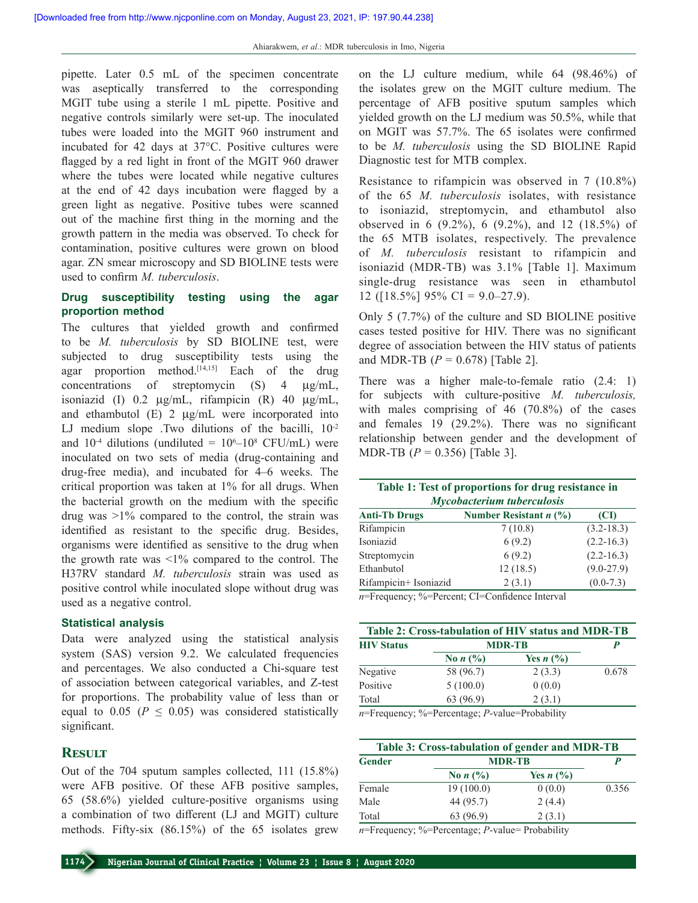pipette. Later 0.5 mL of the specimen concentrate was aseptically transferred to the corresponding MGIT tube using a sterile 1 mL pipette. Positive and negative controls similarly were set‑up. The inoculated tubes were loaded into the MGIT 960 instrument and incubated for 42 days at 37°C. Positive cultures were flagged by a red light in front of the MGIT 960 drawer where the tubes were located while negative cultures at the end of 42 days incubation were flagged by a green light as negative. Positive tubes were scanned out of the machine first thing in the morning and the growth pattern in the media was observed. To check for contamination, positive cultures were grown on blood agar. ZN smear microscopy and SD BIOLINE tests were used to confirm *M. tuberculosis*.

## **Drug susceptibility testing using the agar proportion method**

The cultures that yielded growth and confirmed to be *M. tuberculosis* by SD BIOLINE test, were subjected to drug susceptibility tests using the agar proportion method.<sup>[14,15]</sup> Each of the drug concentrations of streptomycin (S) 4 µg/mL, isoniazid (I) 0.2  $\mu$ g/mL, rifampicin (R) 40  $\mu$ g/mL, and ethambutol (E) 2 µg/mL were incorporated into LJ medium slope .Two dilutions of the bacilli,  $10^{-2}$ and  $10^{-4}$  dilutions (undiluted =  $10^{6}-10^{8}$  CFU/mL) were inoculated on two sets of media (drug-containing and drug‑free media), and incubated for 4–6 weeks. The critical proportion was taken at 1% for all drugs. When the bacterial growth on the medium with the specific drug was  $>1\%$  compared to the control, the strain was identified as resistant to the specific drug. Besides, organisms were identified as sensitive to the drug when the growth rate was  $\leq 1\%$  compared to the control. The H37RV standard *M. tuberculosis* strain was used as positive control while inoculated slope without drug was used as a negative control.

#### **Statistical analysis**

Data were analyzed using the statistical analysis system (SAS) version 9.2. We calculated frequencies and percentages. We also conducted a Chi‑square test of association between categorical variables, and Z‑test for proportions. The probability value of less than or equal to 0.05 ( $P \le 0.05$ ) was considered statistically significant.

## **Result**

Out of the 704 sputum samples collected, 111 (15.8%) were AFB positive. Of these AFB positive samples, 65 (58.6%) yielded culture‑positive organisms using a combination of two different (LJ and MGIT) culture methods. Fifty-six  $(86.15\%)$  of the 65 isolates grew on the LJ culture medium, while 64 (98.46%) of the isolates grew on the MGIT culture medium. The percentage of AFB positive sputum samples which yielded growth on the LJ medium was 50.5%, while that on MGIT was 57.7%. The 65 isolates were confirmed to be *M. tuberculosis* using the SD BIOLINE Rapid Diagnostic test for MTB complex.

Resistance to rifampicin was observed in 7 (10.8%) of the 65 *M. tuberculosis* isolates, with resistance to isoniazid, streptomycin, and ethambutol also observed in 6 (9.2%), 6 (9.2%), and 12 (18.5%) of the 65 MTB isolates, respectively. The prevalence of *M. tuberculosis* resistant to rifampicin and isoniazid (MDR‑TB) was 3.1% [Table 1]. Maximum single-drug resistance was seen in ethambutol 12 ( $[18.5\%]$  95% CI = 9.0–27.9).

Only 5 (7.7%) of the culture and SD BIOLINE positive cases tested positive for HIV. There was no significant degree of association between the HIV status of patients and MDR-TB  $(P = 0.678)$  [Table 2].

There was a higher male-to-female ratio (2.4: 1) for subjects with culture‑positive *M. tuberculosis,* with males comprising of 46 (70.8%) of the cases and females 19 (29.2%). There was no significant relationship between gender and the development of MDR‑TB (*P* = 0.356) [Table 3].

**Table 1: Test of proportions for drug resistance in**  *Mycobacterium tuberculosis* **Anti-Tb Drugs Number Resistant** *n* **(%) (CI)** Rifampicin 7 (10.8) (3.2-18.3)

| 7(10.8)  | $(3.2 - 18.3)$ |
|----------|----------------|
| 6(9.2)   | $(2.2 - 16.3)$ |
| 6(9.2)   | $(2.2 - 16.3)$ |
| 12(18.5) | $(9.0-27.9)$   |
| 2(3.1)   | $(0.0-7.3)$    |
|          |                |

*n*=Frequency; %=Percent; CI=Confidence Interval

| Table 2: Cross-tabulation of HIV status and MDR-TB |                                                                 |                                    |       |  |  |
|----------------------------------------------------|-----------------------------------------------------------------|------------------------------------|-------|--|--|
| <b>HIV Status</b>                                  | <b>MDR-TB</b>                                                   |                                    |       |  |  |
|                                                    | No $n$ $\left(\frac{9}{6}\right)$                               | Yes $n$ $\left(\frac{9}{6}\right)$ |       |  |  |
| Negative                                           | 58 (96.7)                                                       | 2(3.3)                             | 0.678 |  |  |
| Positive                                           | 5(100.0)                                                        | 0(0.0)                             |       |  |  |
| Total                                              | 63 (96.9)                                                       | 2(3.1)                             |       |  |  |
|                                                    | $n =$ Frequency: $\frac{0}{n}$ =Percentage: P-value=Probability |                                    |       |  |  |

*n*=Frequency; %=Percentage; *P*-value=Probability

| Table 3: Cross-tabulation of gender and MDR-TB |                                         |                                 |       |  |  |
|------------------------------------------------|-----------------------------------------|---------------------------------|-------|--|--|
| Gender                                         | <b>MDR-TB</b>                           |                                 | P     |  |  |
|                                                | No $n$ $\left(\frac{9}{6}\right)$       | Yes $n\left(\frac{0}{0}\right)$ |       |  |  |
| Female                                         | 19(100.0)                               | 0(0.0)                          | 0.356 |  |  |
| Male                                           | 44 (95.7)                               | 2(4.4)                          |       |  |  |
| Total                                          | 63 (96.9)                               | 2(3.1)                          |       |  |  |
| $\sim$                                         | $\sim$ $\sim$<br>$\mathbf{f}$<br>$\sim$ |                                 |       |  |  |

*n*=Frequency; %=Percentage; *P*-value= Probability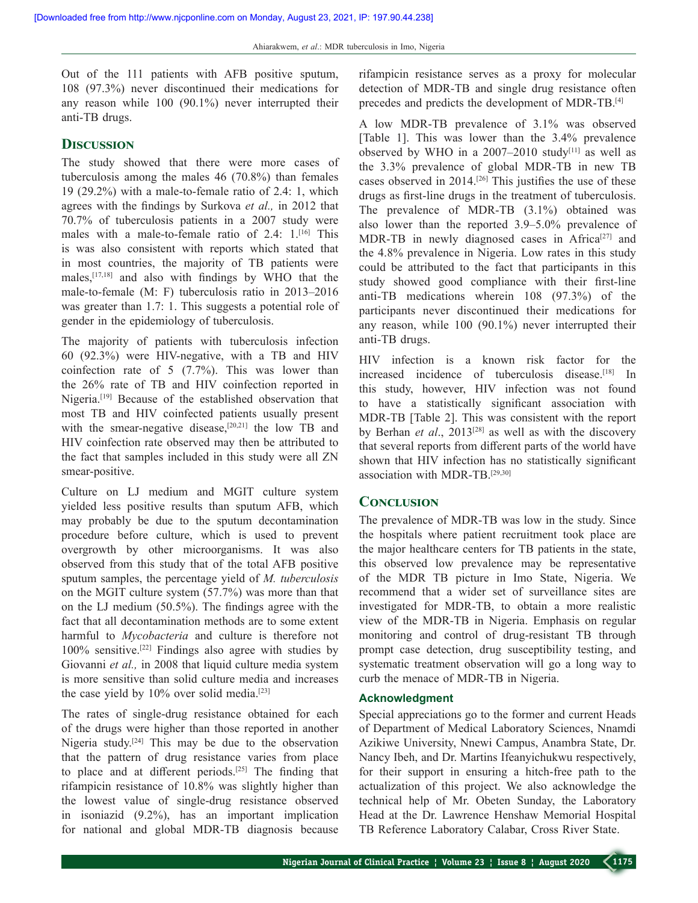Out of the 111 patients with AFB positive sputum, 108 (97.3%) never discontinued their medications for any reason while 100 (90.1%) never interrupted their anti‑TB drugs.

### **Discussion**

The study showed that there were more cases of tuberculosis among the males 46 (70.8%) than females 19 (29.2%) with a male‑to‑female ratio of 2.4: 1, which agrees with the findings by Surkova *et al.,* in 2012 that 70.7% of tuberculosis patients in a 2007 study were males with a male-to-female ratio of 2.4: 1.<sup>[16]</sup> This is was also consistent with reports which stated that in most countries, the majority of TB patients were males,[17,18] and also with findings by WHO that the male-to-female (M: F) tuberculosis ratio in 2013–2016 was greater than 1.7: 1. This suggests a potential role of gender in the epidemiology of tuberculosis.

The majority of patients with tuberculosis infection 60 (92.3%) were HIV‑negative, with a TB and HIV coinfection rate of 5 (7.7%). This was lower than the 26% rate of TB and HIV coinfection reported in Nigeria.[19] Because of the established observation that most TB and HIV coinfected patients usually present with the smear-negative disease,<sup>[20,21]</sup> the low TB and HIV coinfection rate observed may then be attributed to the fact that samples included in this study were all ZN smear-positive.

Culture on LJ medium and MGIT culture system yielded less positive results than sputum AFB, which may probably be due to the sputum decontamination procedure before culture, which is used to prevent overgrowth by other microorganisms. It was also observed from this study that of the total AFB positive sputum samples, the percentage yield of *M. tuberculosis* on the MGIT culture system (57.7%) was more than that on the LJ medium (50.5%). The findings agree with the fact that all decontamination methods are to some extent harmful to *Mycobacteria* and culture is therefore not 100% sensitive.[22] Findings also agree with studies by Giovanni *et al.,* in 2008 that liquid culture media system is more sensitive than solid culture media and increases the case yield by 10% over solid media.<sup>[23]</sup>

The rates of single-drug resistance obtained for each of the drugs were higher than those reported in another Nigeria study.[24] This may be due to the observation that the pattern of drug resistance varies from place to place and at different periods.[25] The finding that rifampicin resistance of 10.8% was slightly higher than the lowest value of single‑drug resistance observed in isoniazid (9.2%), has an important implication for national and global MDR‑TB diagnosis because rifampicin resistance serves as a proxy for molecular detection of MDR-TB and single drug resistance often precedes and predicts the development of MDR‑TB.[4]

A low MDR‑TB prevalence of 3.1% was observed [Table 1]. This was lower than the 3.4% prevalence observed by WHO in a  $2007-2010$  study<sup>[11]</sup> as well as the 3.3% prevalence of global MDR‑TB in new TB cases observed in 2014.[26] This justifies the use of these drugs as first-line drugs in the treatment of tuberculosis. The prevalence of MDR-TB (3.1%) obtained was also lower than the reported 3.9–5.0% prevalence of MDR-TB in newly diagnosed cases in Africa<sup>[27]</sup> and the 4.8% prevalence in Nigeria. Low rates in this study could be attributed to the fact that participants in this study showed good compliance with their first-line anti‑TB medications wherein 108 (97.3%) of the participants never discontinued their medications for any reason, while 100 (90.1%) never interrupted their anti-TB drugs.

HIV infection is a known risk factor for the increased incidence of tuberculosis disease.<sup>[18]</sup> In this study, however, HIV infection was not found to have a statistically significant association with MDR‑TB [Table 2]. This was consistent with the report by Berhan *et al*., 2013[28] as well as with the discovery that several reports from different parts of the world have shown that HIV infection has no statistically significant association with MDR‑TB.[29,30]

### **Conclusion**

The prevalence of MDR-TB was low in the study. Since the hospitals where patient recruitment took place are the major healthcare centers for TB patients in the state, this observed low prevalence may be representative of the MDR TB picture in Imo State, Nigeria. We recommend that a wider set of surveillance sites are investigated for MDR‑TB, to obtain a more realistic view of the MDR‑TB in Nigeria. Emphasis on regular monitoring and control of drug-resistant TB through prompt case detection, drug susceptibility testing, and systematic treatment observation will go a long way to curb the menace of MDR‑TB in Nigeria.

#### **Acknowledgment**

Special appreciations go to the former and current Heads of Department of Medical Laboratory Sciences, Nnamdi Azikiwe University, Nnewi Campus, Anambra State, Dr. Nancy Ibeh, and Dr. Martins Ifeanyichukwu respectively, for their support in ensuring a hitch-free path to the actualization of this project. We also acknowledge the technical help of Mr. Obeten Sunday, the Laboratory Head at the Dr. Lawrence Henshaw Memorial Hospital TB Reference Laboratory Calabar, Cross River State.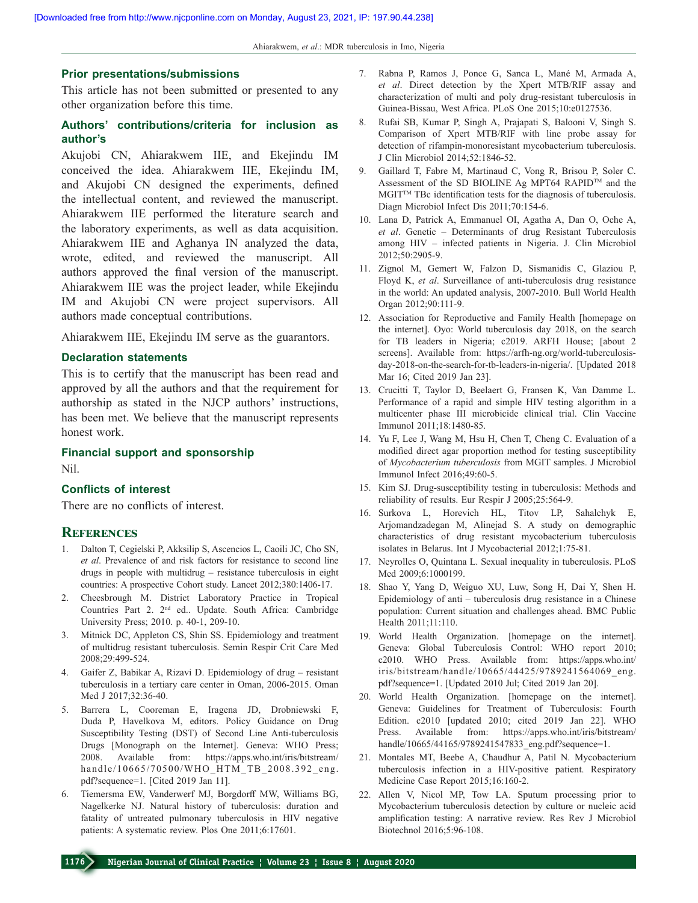#### **Prior presentations/submissions**

This article has not been submitted or presented to any other organization before this time.

## **Authors' contributions/criteria for inclusion as author's**

Akujobi CN, Ahiarakwem IIE, and Ekejindu IM conceived the idea. Ahiarakwem IIE, Ekejindu IM, and Akujobi CN designed the experiments, defined the intellectual content, and reviewed the manuscript. Ahiarakwem IIE performed the literature search and the laboratory experiments, as well as data acquisition. Ahiarakwem IIE and Aghanya IN analyzed the data, wrote, edited, and reviewed the manuscript. All authors approved the final version of the manuscript. Ahiarakwem IIE was the project leader, while Ekejindu IM and Akujobi CN were project supervisors. All authors made conceptual contributions.

Ahiarakwem IIE, Ekejindu IM serve as the guarantors.

#### **Declaration statements**

This is to certify that the manuscript has been read and approved by all the authors and that the requirement for authorship as stated in the NJCP authors' instructions, has been met. We believe that the manuscript represents honest work.

## **Financial support and sponsorship**

Nil.

### **Conflicts of interest**

There are no conflicts of interest.

#### **References**

- 1. Dalton T, Cegielski P, Akksilip S, Ascencios L, Caoili JC, Cho SN, *et al*. Prevalence of and risk factors for resistance to second line drugs in people with multidrug – resistance tuberculosis in eight countries: A prospective Cohort study. Lancet 2012;380:1406-17.
- 2. Cheesbrough M. District Laboratory Practice in Tropical Countries Part 2. 2nd ed.. Update. South Africa: Cambridge University Press; 2010. p. 40-1, 209-10.
- 3. Mitnick DC, Appleton CS, Shin SS. Epidemiology and treatment of multidrug resistant tuberculosis. Semin Respir Crit Care Med 2008;29:499-524.
- 4. Gaifer Z, Babikar A, Rizavi D. Epidemiology of drug resistant tuberculosis in a tertiary care center in Oman, 2006-2015. Oman Med J 2017;32:36-40.
- 5. Barrera L, Cooreman E, Iragena JD, Drobniewski F, Duda P, Havelkova M, editors. Policy Guidance on Drug Susceptibility Testing (DST) of Second Line Anti-tuberculosis Drugs [Monograph on the Internet]. Geneva: WHO Press; 2008. Available from: https://apps.who.int/iris/bitstream/ handle/10665/70500/WHO\_HTM\_TB\_2008.392\_eng. pdf?sequence=1. [Cited 2019 Jan 11].
- 6. Tiemersma EW, Vanderwerf MJ, Borgdorff MW, Williams BG, Nagelkerke NJ. Natural history of tuberculosis: duration and fatality of untreated pulmonary tuberculosis in HIV negative patients: A systematic review. Plos One 2011;6:17601.
- 7. Rabna P, Ramos J, Ponce G, Sanca L, Mané M, Armada A, *et al*. Direct detection by the Xpert MTB/RIF assay and characterization of multi and poly drug-resistant tuberculosis in Guinea-Bissau, West Africa. PLoS One 2015;10:e0127536.
- 8. Rufai SB, Kumar P, Singh A, Prajapati S, Balooni V, Singh S. Comparison of Xpert MTB/RIF with line probe assay for detection of rifampin-monoresistant mycobacterium tuberculosis. J Clin Microbiol 2014;52:1846-52.
- 9. Gaillard T, Fabre M, Martinaud C, Vong R, Brisou P, Soler C. Assessment of the SD BIOLINE Ag MPT64 RAPID™ and the MGIT<sup>™</sup> TBc identification tests for the diagnosis of tuberculosis. Diagn Microbiol Infect Dis 2011;70:154-6.
- 10. Lana D, Patrick A, Emmanuel OI, Agatha A, Dan O, Oche A, *et al*. Genetic – Determinants of drug Resistant Tuberculosis among HIV – infected patients in Nigeria. J. Clin Microbiol 2012;50:2905-9.
- 11. Zignol M, Gemert W, Falzon D, Sismanidis C, Glaziou P, Floyd K, *et al*. Surveillance of anti-tuberculosis drug resistance in the world: An updated analysis, 2007-2010. Bull World Health Organ 2012;90:111-9.
- 12. Association for Reproductive and Family Health [homepage on the internet]. Oyo: World tuberculosis day 2018, on the search for TB leaders in Nigeria; c2019. ARFH House; [about 2 screens]. Available from: https://arfh-ng.org/world-tuberculosisday-2018-on-the-search-for-tb-leaders-in-nigeria/. [Updated 2018 Mar 16; Cited 2019 Jan 23].
- 13. Crucitti T, Taylor D, Beelaert G, Fransen K, Van Damme L. Performance of a rapid and simple HIV testing algorithm in a multicenter phase III microbicide clinical trial. Clin Vaccine Immunol 2011;18:1480-85.
- 14. Yu F, Lee J, Wang M, Hsu H, Chen T, Cheng C. Evaluation of a modified direct agar proportion method for testing susceptibility of *Mycobacterium tuberculosis* from MGIT samples. J Microbiol Immunol Infect 2016;49:60-5.
- 15. Kim SJ. Drug-susceptibility testing in tuberculosis: Methods and reliability of results. Eur Respir J 2005;25:564-9.
- 16. Surkova L, Horevich HL, Titov LP, Sahalchyk E, Arjomandzadegan M, Alinejad S. A study on demographic characteristics of drug resistant mycobacterium tuberculosis isolates in Belarus. Int J Mycobacterial 2012;1:75-81.
- 17. Neyrolles O, Quintana L. Sexual inequality in tuberculosis. PLoS Med 2009;6:1000199.
- 18. Shao Y, Yang D, Weiguo XU, Luw, Song H, Dai Y, Shen H. Epidemiology of anti – tuberculosis drug resistance in a Chinese population: Current situation and challenges ahead. BMC Public Health 2011;11:110.
- 19. World Health Organization. [homepage on the internet]. Geneva: Global Tuberculosis Control: WHO report 2010; c2010. WHO Press. Available from: https://apps.who.int/ iris/bitstream/handle/10665/44425/9789241564069\_eng. pdf?sequence=1. [Updated 2010 Jul; Cited 2019 Jan 20].
- 20. World Health Organization. [homepage on the internet]. Geneva: Guidelines for Treatment of Tuberculosis: Fourth Edition. c2010 [updated 2010; cited 2019 Jan 22]. WHO Press. Available from: https://apps.who.int/iris/bitstream/ handle/10665/44165/9789241547833 eng.pdf?sequence=1.
- 21. Montales MT, Beebe A, Chaudhur A, Patil N. Mycobacterium tuberculosis infection in a HIV-positive patient. Respiratory Medicine Case Report 2015;16:160-2.
- 22. Allen V, Nicol MP, Tow LA. Sputum processing prior to Mycobacterium tuberculosis detection by culture or nucleic acid amplification testing: A narrative review. Res Rev J Microbiol Biotechnol 2016;5:96-108.